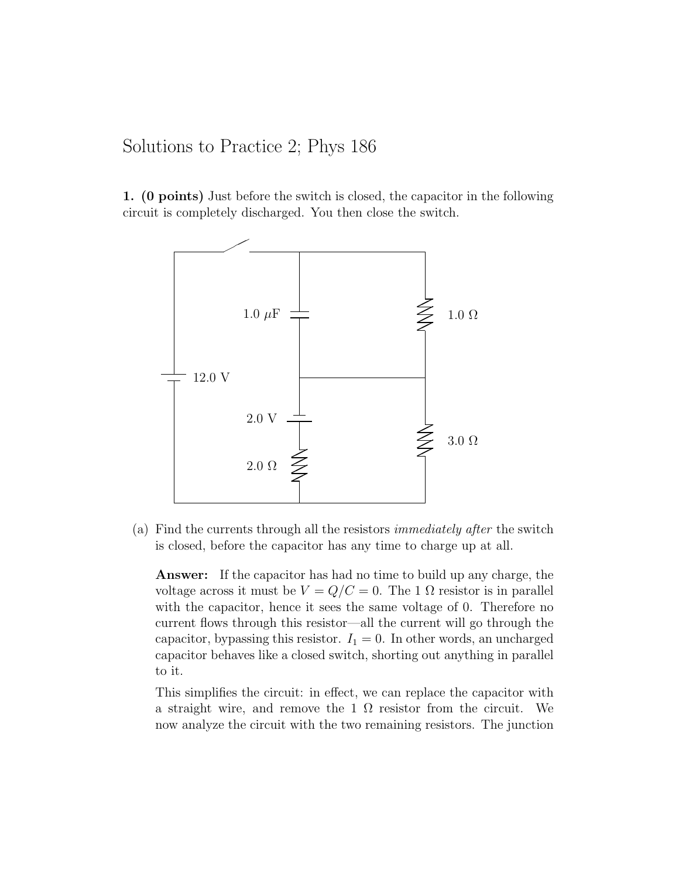## Solutions to Practice 2; Phys 186

1. (0 points) Just before the switch is closed, the capacitor in the following circuit is completely discharged. You then close the switch.



(a) Find the currents through all the resistors immediately after the switch is closed, before the capacitor has any time to charge up at all.

Answer: If the capacitor has had no time to build up any charge, the voltage across it must be  $V = Q/C = 0$ . The 1  $\Omega$  resistor is in parallel with the capacitor, hence it sees the same voltage of 0. Therefore no current flows through this resistor—all the current will go through the capacitor, bypassing this resistor.  $I_1 = 0$ . In other words, an uncharged capacitor behaves like a closed switch, shorting out anything in parallel to it.

This simplifies the circuit: in effect, we can replace the capacitor with a straight wire, and remove the 1  $\Omega$  resistor from the circuit. We now analyze the circuit with the two remaining resistors. The junction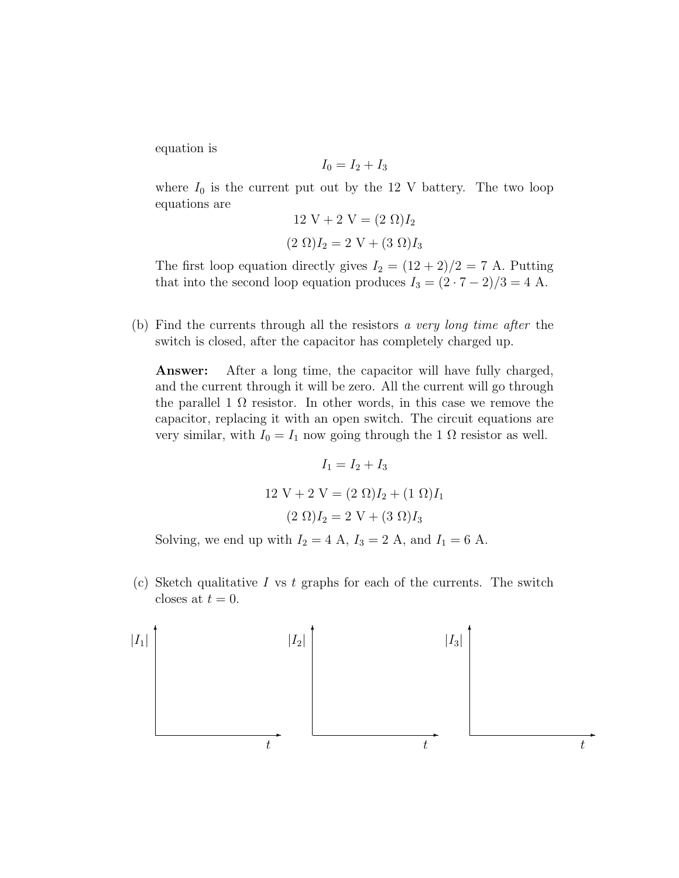equation is

$$
I_0 = I_2 + I_3
$$

where  $I_0$  is the current put out by the 12 V battery. The two loop equations are

$$
12 V + 2 V = (2 \Omega)I_2
$$

$$
(2 \Omega)I_2 = 2 V + (3 \Omega)I_3
$$

The first loop equation directly gives  $I_2 = (12 + 2)/2 = 7$  A. Putting that into the second loop equation produces  $I_3 = (2 \cdot 7 - 2)/3 = 4$  A.

(b) Find the currents through all the resistors a very long time after the switch is closed, after the capacitor has completely charged up.

Answer: After a long time, the capacitor will have fully charged, and the current through it will be zero. All the current will go through the parallel 1  $\Omega$  resistor. In other words, in this case we remove the capacitor, replacing it with an open switch. The circuit equations are very similar, with  $I_0 = I_1$  now going through the 1  $\Omega$  resistor as well.

$$
I_1 = I_2 + I_3
$$
  
12 V + 2 V = (2 Ω) $I_2$  + (1 Ω) $I_1$   
(2 Ω) $I_2$  = 2 V + (3 Ω) $I_3$ 

Solving, we end up with  $I_2 = 4$  A,  $I_3 = 2$  A, and  $I_1 = 6$  A.

(c) Sketch qualitative I vs t graphs for each of the currents. The switch closes at  $t = 0$ .

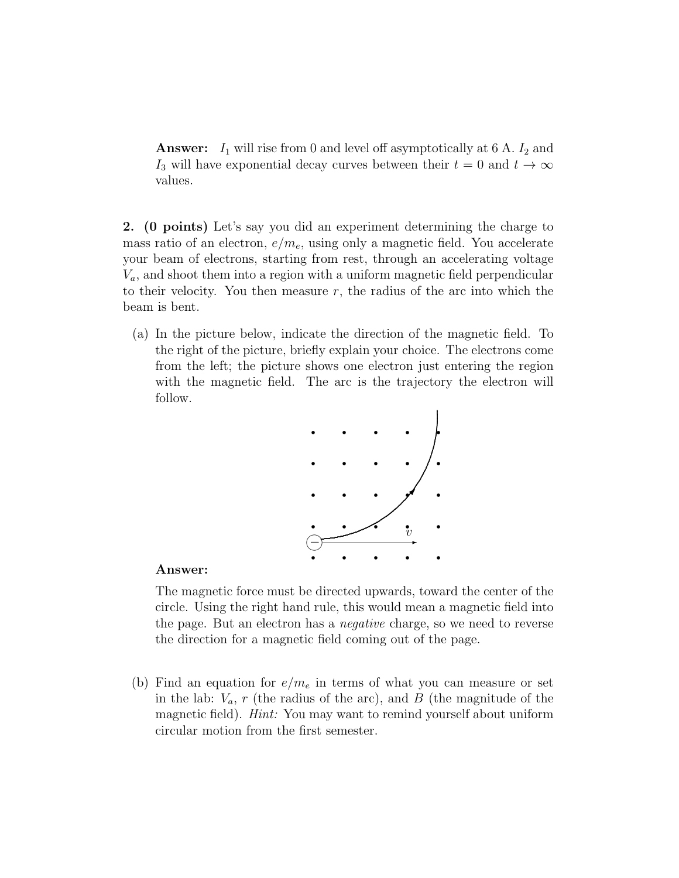**Answer:**  $I_1$  will rise from 0 and level off asymptotically at 6 A.  $I_2$  and I<sub>3</sub> will have exponential decay curves between their  $t = 0$  and  $t \to \infty$ values.

2. (0 points) Let's say you did an experiment determining the charge to mass ratio of an electron,  $e/m_e$ , using only a magnetic field. You accelerate your beam of electrons, starting from rest, through an accelerating voltage  $V_a$ , and shoot them into a region with a uniform magnetic field perpendicular to their velocity. You then measure  $r$ , the radius of the arc into which the beam is bent.

(a) In the picture below, indicate the direction of the magnetic field. To the right of the picture, briefly explain your choice. The electrons come from the left; the picture shows one electron just entering the region with the magnetic field. The arc is the trajectory the electron will follow.



## Answer:

The magnetic force must be directed upwards, toward the center of the circle. Using the right hand rule, this would mean a magnetic field into the page. But an electron has a negative charge, so we need to reverse the direction for a magnetic field coming out of the page.

(b) Find an equation for  $e/m_e$  in terms of what you can measure or set in the lab:  $V_a$ , r (the radius of the arc), and B (the magnitude of the magnetic field). *Hint*: You may want to remind yourself about uniform circular motion from the first semester.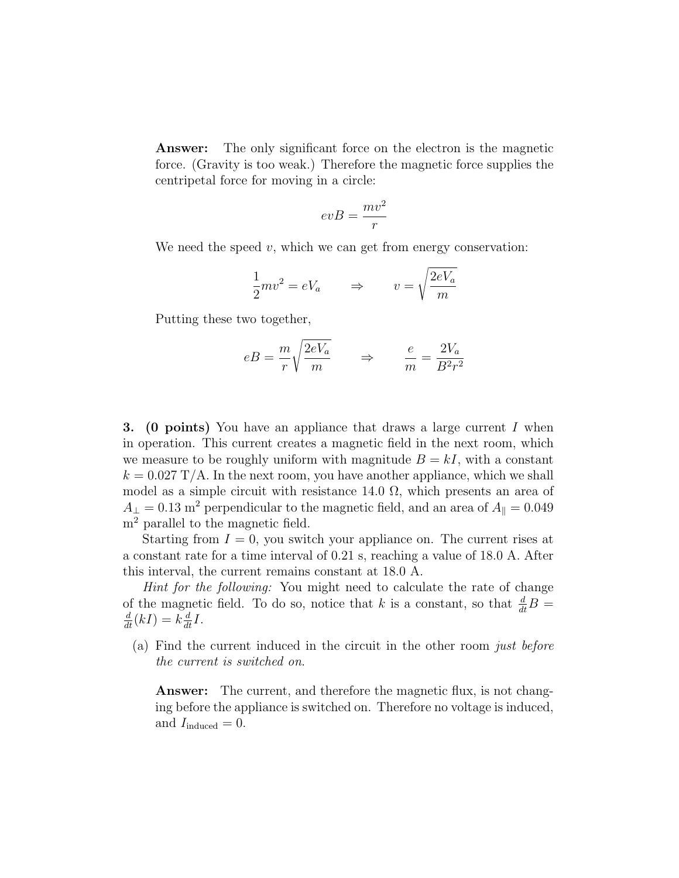Answer: The only significant force on the electron is the magnetic force. (Gravity is too weak.) Therefore the magnetic force supplies the centripetal force for moving in a circle:

$$
evB = \frac{mv^2}{r}
$$

We need the speed  $v$ , which we can get from energy conservation:

$$
\frac{1}{2}mv^2 = eV_a \qquad \Rightarrow \qquad v = \sqrt{\frac{2eV_a}{m}}
$$

Putting these two together,

$$
eB = \frac{m}{r} \sqrt{\frac{2eV_a}{m}} \qquad \Rightarrow \qquad \frac{e}{m} = \frac{2V_a}{B^2 r^2}
$$

**3.** (**0** points) You have an appliance that draws a large current I when in operation. This current creates a magnetic field in the next room, which we measure to be roughly uniform with magnitude  $B = kI$ , with a constant  $k = 0.027$  T/A. In the next room, you have another appliance, which we shall model as a simple circuit with resistance 14.0  $\Omega$ , which presents an area of  $A_{\perp} = 0.13$  m<sup>2</sup> perpendicular to the magnetic field, and an area of  $A_{\parallel} = 0.049$ m<sup>2</sup> parallel to the magnetic field.

Starting from  $I = 0$ , you switch your appliance on. The current rises at a constant rate for a time interval of 0.21 s, reaching a value of 18.0 A. After this interval, the current remains constant at 18.0 A.

Hint for the following: You might need to calculate the rate of change of the magnetic field. To do so, notice that k is a constant, so that  $\frac{d}{dt}B =$  $\frac{d}{dt}(kI) = k\frac{d}{dt}I.$ 

(a) Find the current induced in the circuit in the other room just before the current is switched on.

Answer: The current, and therefore the magnetic flux, is not changing before the appliance is switched on. Therefore no voltage is induced, and  $I_{induced} = 0$ .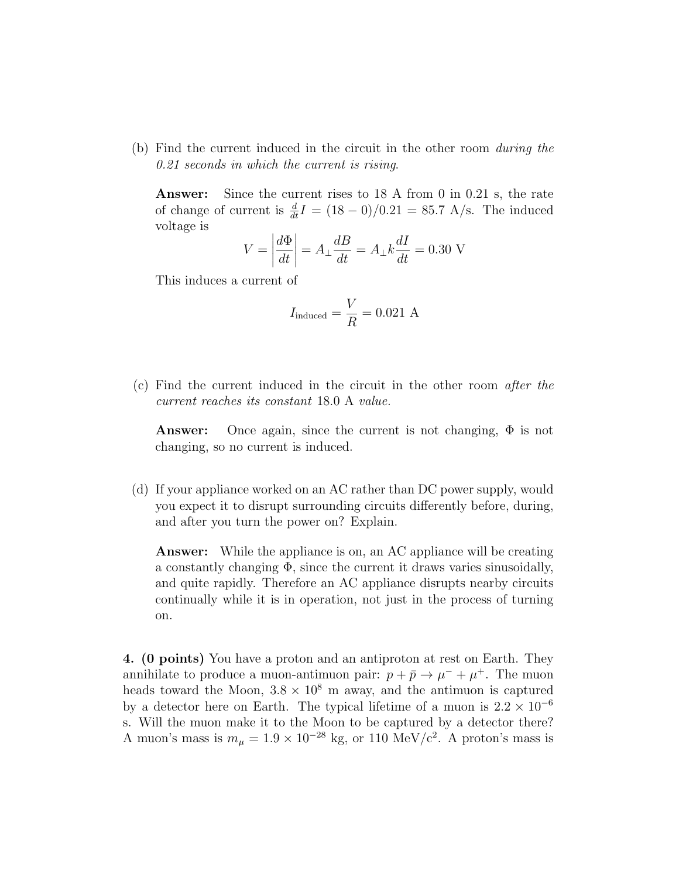(b) Find the current induced in the circuit in the other room during the 0.21 seconds in which the current is rising.

Answer: Since the current rises to 18 A from 0 in 0.21 s, the rate of change of current is  $\frac{d}{dt}I = (18 - 0)/0.21 = 85.7$  A/s. The induced voltage is

$$
V = \left| \frac{d\Phi}{dt} \right| = A_{\perp} \frac{dB}{dt} = A_{\perp} k \frac{dI}{dt} = 0.30 \text{ V}
$$

This induces a current of

$$
I_{\text{induced}} = \frac{V}{R} = 0.021 \text{ A}
$$

(c) Find the current induced in the circuit in the other room after the current reaches its constant 18.0 A value.

**Answer:** Once again, since the current is not changing,  $\Phi$  is not changing, so no current is induced.

(d) If your appliance worked on an AC rather than DC power supply, would you expect it to disrupt surrounding circuits differently before, during, and after you turn the power on? Explain.

**Answer:** While the appliance is on, an AC appliance will be creating a constantly changing  $\Phi$ , since the current it draws varies sinusoidally, and quite rapidly. Therefore an AC appliance disrupts nearby circuits continually while it is in operation, not just in the process of turning on.

4. (0 points) You have a proton and an antiproton at rest on Earth. They annihilate to produce a muon-antimuon pair:  $p + \bar{p} \rightarrow \mu^{-} + \mu^{+}$ . The muon heads toward the Moon,  $3.8 \times 10^8$  m away, and the antimuon is captured by a detector here on Earth. The typical lifetime of a muon is  $2.2 \times 10^{-6}$ s. Will the muon make it to the Moon to be captured by a detector there? A muon's mass is  $m_{\mu} = 1.9 \times 10^{-28}$  kg, or 110 MeV/c<sup>2</sup>. A proton's mass is